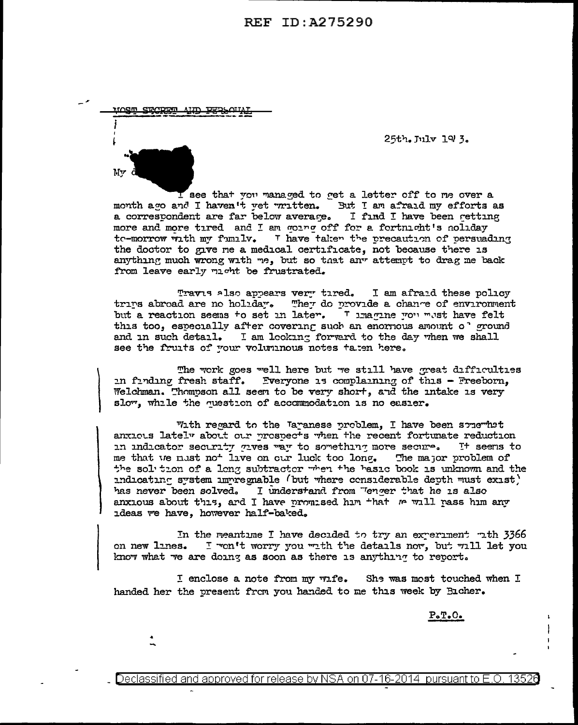**REF ID: A275290** 

25th. July 19 3.

I see that you managed to get a letter off to me over a month ago and I haven't vet written. But I am afraid my efforts as a correspondent are far below average. I find I have been getting more and more tired and I am worm off for a fortnight's noliday te-morrow with my family. I have taken the precaution of persuading the doctor to give me a medical certificate, not because there is anything much wrong with me, but so that any attempt to drag me back from leave early might be frustrated.

Travis also appears very tired. I am afraid these policy They do provide a chance of environment trins abroad are no holiday. but a reaction seems to set in later. There we wast have felt this too, especially after covering such an enormous amount o' ground and in such detail. I am looking forward to the day when we shall see the fruits of your voluninous notes taien here.

The work goes well here but we still have great difficulties in finding fresh staff. Everyone is complaining of this - Freeborn, Welchman. Thomoson all seem to be very short, and the intake is very slow, while the question of accommodation is no easier.

With regard to the Taranese problem, I have been somewhat anxieus lately about our prespects when the recent fortunate reduction in indicator security gives way to something more secure. It seems to me that we must not live on our luck too long. The major problem of the solution of a long subtractor when the basic book is unknown and the indicating system impregnable (but where considerable depth must exist) has never been solved. I understand from "enger that he is also anxious about this, and I have promised him that we will pass him any ideas we have, however half-baked.

In the meantime I have decided to try an experiment rith 3366 on new lines. I won't worry you with the details now, but will let you know what we are doing as soon as there is anything to report.

I enclose a note from my wife. She was most touched when I handed her the present from you handed to me this week by Bicher.

 $P \cdot T \cdot C$ .

13526 Declassified and approved for release by NSA on 07-16-2014  $\,$  pursuant to E.O.

**XIOSTI** 

**CDODER**